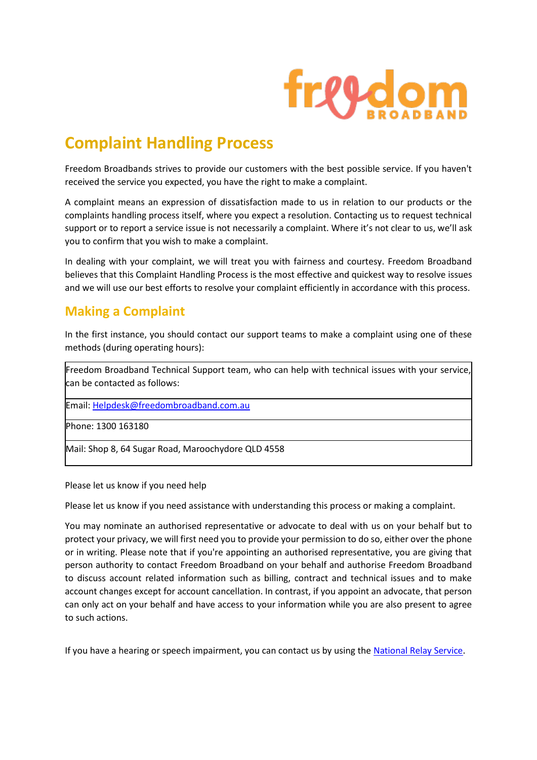

# **Complaint Handling Process**

Freedom Broadbands strives to provide our customers with the best possible service. If you haven't received the service you expected, you have the right to make a complaint.

A complaint means an expression of dissatisfaction made to us in relation to our products or the complaints handling process itself, where you expect a resolution. Contacting us to request technical support or to report a service issue is not necessarily a complaint. Where it's not clear to us, we'll ask you to confirm that you wish to make a complaint.

In dealing with your complaint, we will treat you with fairness and courtesy. Freedom Broadband believes that this Complaint Handling Process is the most effective and quickest way to resolve issues and we will use our best efforts to resolve your complaint efficiently in accordance with this process.

## **Making a Complaint**

In the first instance, you should contact our support teams to make a complaint using one of these methods (during operating hours):

Freedom Broadband Technical Support team, who can help with technical issues with your service, can be contacted as follows:

Email: [Helpdesk@freedombroadband.com.au](mailto:Helpdesk@freedombroadband.com.au)

Phone: 1300 163180

Mail: Shop 8, 64 Sugar Road, Maroochydore QLD 4558

Please let us know if you need help

Please let us know if you need assistance with understanding this process or making a complaint.

You may nominate an authorised representative or advocate to deal with us on your behalf but to protect your privacy, we will first need you to provide your permission to do so, either over the phone or in writing. Please note that if you're appointing an authorised representative, you are giving that person authority to contact Freedom Broadband on your behalf and authorise Freedom Broadband to discuss account related information such as billing, contract and technical issues and to make account changes except for account cancellation. In contrast, if you appoint an advocate, that person can only act on your behalf and have access to your information while you are also present to agree to such actions.

If you have a hearing or speech impairment, you can contact us by using the [National Relay Service.](https://relayservice.gov.au/)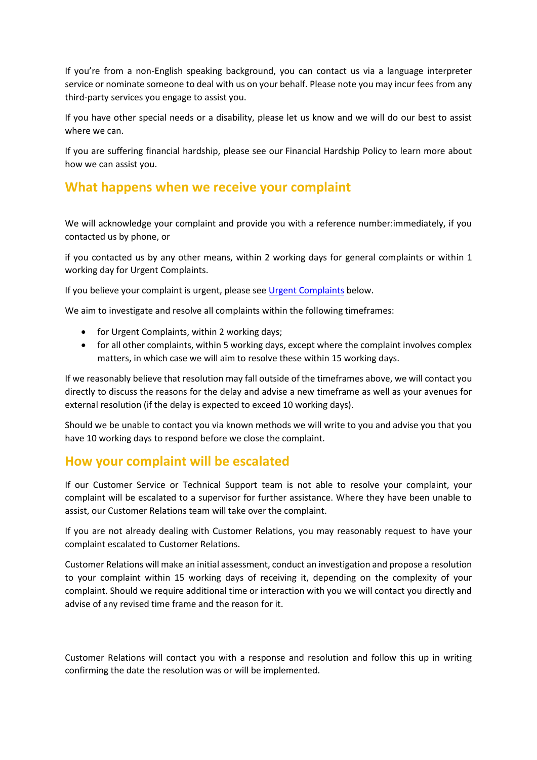If you're from a non-English speaking background, you can contact us via a language interpreter service or nominate someone to deal with us on your behalf. Please note you may incur fees from any third-party services you engage to assist you.

If you have other special needs or a disability, please let us know and we will do our best to assist where we can.

If you are suffering financial hardship, please see our Financial Hardship Policy to learn more about how we can assist you.

#### **What happens when we receive your complaint**

We will acknowledge your complaint and provide you with a reference number:immediately, if you contacted us by phone, or

if you contacted us by any other means, within 2 working days for general complaints or within 1 working day for Urgent Complaints.

If you believe your complaint is urgent, please see [Urgent Complaints](https://www.tpg.com.au/complaint.php#urgentcomplaints) below.

We aim to investigate and resolve all complaints within the following timeframes:

- for Urgent Complaints, within 2 working days;
- for all other complaints, within 5 working days, except where the complaint involves complex matters, in which case we will aim to resolve these within 15 working days.

If we reasonably believe that resolution may fall outside of the timeframes above, we will contact you directly to discuss the reasons for the delay and advise a new timeframe as well as your avenues for external resolution (if the delay is expected to exceed 10 working days).

Should we be unable to contact you via known methods we will write to you and advise you that you have 10 working days to respond before we close the complaint.

#### **How your complaint will be escalated**

If our Customer Service or Technical Support team is not able to resolve your complaint, your complaint will be escalated to a supervisor for further assistance. Where they have been unable to assist, our Customer Relations team will take over the complaint.

If you are not already dealing with Customer Relations, you may reasonably request to have your complaint escalated to Customer Relations.

Customer Relations will make an initial assessment, conduct an investigation and propose a resolution to your complaint within 15 working days of receiving it, depending on the complexity of your complaint. Should we require additional time or interaction with you we will contact you directly and advise of any revised time frame and the reason for it.

Customer Relations will contact you with a response and resolution and follow this up in writing confirming the date the resolution was or will be implemented.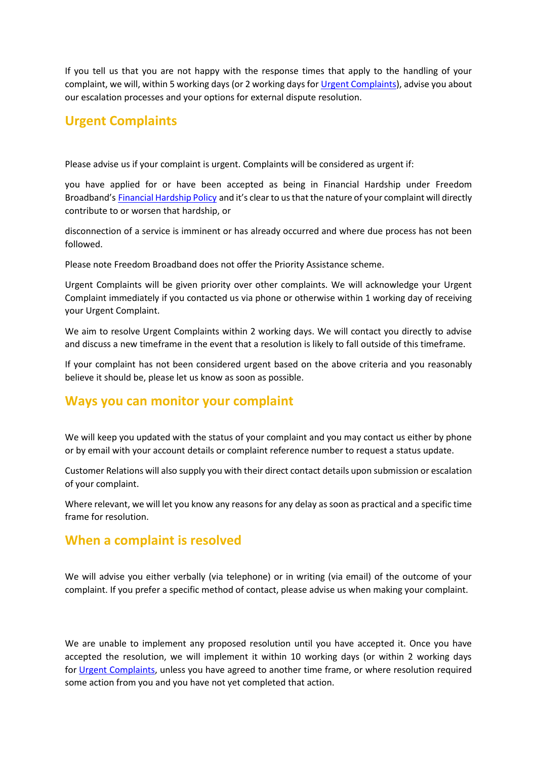If you tell us that you are not happy with the response times that apply to the handling of your complaint, we will, within 5 working days (or 2 working days for [Urgent Complaints\)](https://www.tpg.com.au/complaint.php#urgentcomplaints), advise you about our escalation processes and your options for external dispute resolution.

## **Urgent Complaints**

Please advise us if your complaint is urgent. Complaints will be considered as urgent if:

you have applied for or have been accepted as being in Financial Hardship under Freedom Broadband's [Financial Hardship Policy](https://www.tpg.com.au/terms_conditions/financialhardship) and it's clear to us that the nature of your complaint will directly contribute to or worsen that hardship, or

disconnection of a service is imminent or has already occurred and where due process has not been followed.

Please note Freedom Broadband does not offer the Priority Assistance scheme.

Urgent Complaints will be given priority over other complaints. We will acknowledge your Urgent Complaint immediately if you contacted us via phone or otherwise within 1 working day of receiving your Urgent Complaint.

We aim to resolve Urgent Complaints within 2 working days. We will contact you directly to advise and discuss a new timeframe in the event that a resolution is likely to fall outside of this timeframe.

If your complaint has not been considered urgent based on the above criteria and you reasonably believe it should be, please let us know as soon as possible.

## **Ways you can monitor your complaint**

We will keep you updated with the status of your complaint and you may contact us either by phone or by email with your account details or complaint reference number to request a status update.

Customer Relations will also supply you with their direct contact details upon submission or escalation of your complaint.

Where relevant, we will let you know any reasons for any delay as soon as practical and a specific time frame for resolution.

#### **When a complaint is resolved**

We will advise you either verbally (via telephone) or in writing (via email) of the outcome of your complaint. If you prefer a specific method of contact, please advise us when making your complaint.

We are unable to implement any proposed resolution until you have accepted it. Once you have accepted the resolution, we will implement it within 10 working days (or within 2 working days for [Urgent Complaints,](https://www.tpg.com.au/complaint.php#urgentcomplaints) unless you have agreed to another time frame, or where resolution required some action from you and you have not yet completed that action.